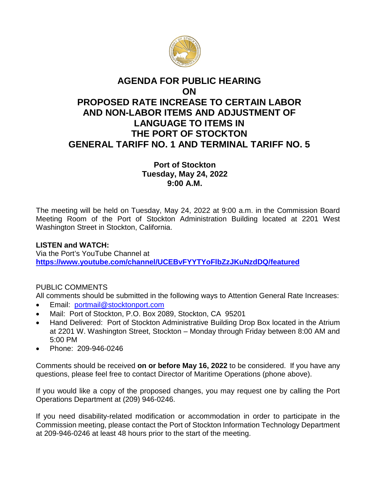

## **AGENDA FOR PUBLIC HEARING ON PROPOSED RATE INCREASE TO CERTAIN LABOR AND NON-LABOR ITEMS AND ADJUSTMENT OF LANGUAGE TO ITEMS IN THE PORT OF STOCKTON GENERAL TARIFF NO. 1 AND TERMINAL TARIFF NO. 5**

**Port of Stockton Tuesday, May 24, 2022 9:00 A.M.**

The meeting will be held on Tuesday, May 24, 2022 at 9:00 a.m. in the Commission Board Meeting Room of the Port of Stockton Administration Building located at 2201 West Washington Street in Stockton, California.

## **LISTEN and WATCH:**

Via the Port's YouTube Channel at **<https://www.youtube.com/channel/UCEBvFYYTYoFlbZzJKuNzdDQ/featured>**

## PUBLIC COMMENTS

All comments should be submitted in the following ways to Attention General Rate Increases:

- Email: [portmail@stocktonport.com](mailto:portmail@stocktonport.com)
- Mail: Port of Stockton, P.O. Box 2089, Stockton, CA 95201
- Hand Delivered: Port of Stockton Administrative Building Drop Box located in the Atrium at 2201 W. Washington Street, Stockton – Monday through Friday between 8:00 AM and 5:00 PM
- Phone: 209-946-0246

Comments should be received **on or before May 16, 2022** to be considered. If you have any questions, please feel free to contact Director of Maritime Operations (phone above).

If you would like a copy of the proposed changes, you may request one by calling the Port Operations Department at (209) 946-0246.

If you need disability-related modification or accommodation in order to participate in the Commission meeting, please contact the Port of Stockton Information Technology Department at 209-946-0246 at least 48 hours prior to the start of the meeting.